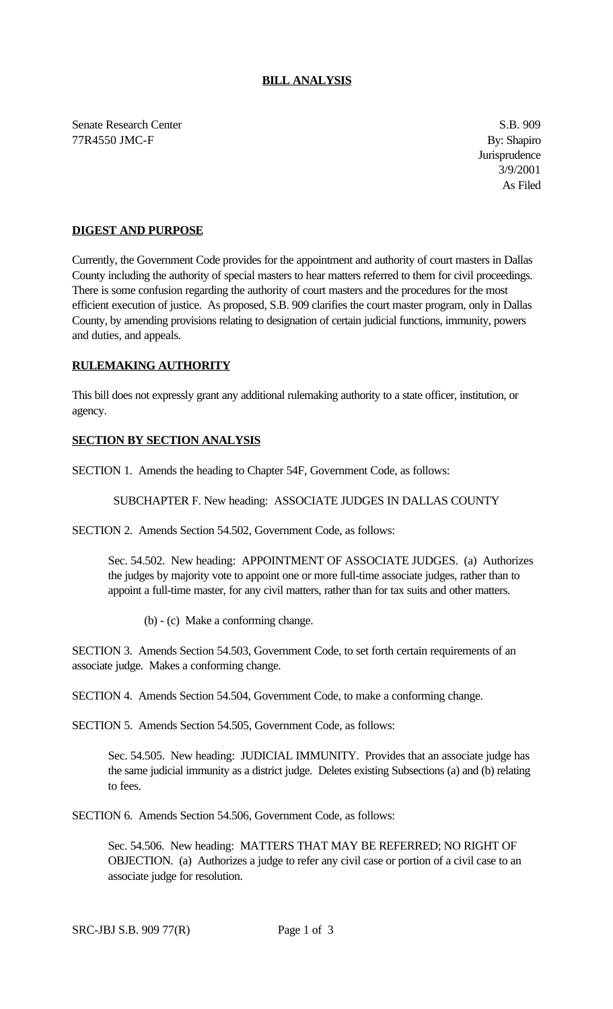## **BILL ANALYSIS**

Senate Research Center S.B. 909 77R4550 JMC-F By: Shapiro

**Jurisprudence** 3/9/2001 As Filed

## **DIGEST AND PURPOSE**

Currently, the Government Code provides for the appointment and authority of court masters in Dallas County including the authority of special masters to hear matters referred to them for civil proceedings. There is some confusion regarding the authority of court masters and the procedures for the most efficient execution of justice. As proposed, S.B. 909 clarifies the court master program, only in Dallas County, by amending provisions relating to designation of certain judicial functions, immunity, powers and duties, and appeals.

## **RULEMAKING AUTHORITY**

This bill does not expressly grant any additional rulemaking authority to a state officer, institution, or agency.

## **SECTION BY SECTION ANALYSIS**

SECTION 1. Amends the heading to Chapter 54F, Government Code, as follows:

SUBCHAPTER F. New heading: ASSOCIATE JUDGES IN DALLAS COUNTY

SECTION 2. Amends Section 54.502, Government Code, as follows:

Sec. 54.502. New heading: APPOINTMENT OF ASSOCIATE JUDGES. (a) Authorizes the judges by majority vote to appoint one or more full-time associate judges, rather than to appoint a full-time master, for any civil matters, rather than for tax suits and other matters.

(b) - (c) Make a conforming change.

SECTION 3. Amends Section 54.503, Government Code, to set forth certain requirements of an associate judge. Makes a conforming change.

SECTION 4. Amends Section 54.504, Government Code, to make a conforming change.

SECTION 5. Amends Section 54.505, Government Code, as follows:

Sec. 54.505. New heading: JUDICIAL IMMUNITY. Provides that an associate judge has the same judicial immunity as a district judge. Deletes existing Subsections (a) and (b) relating to fees.

SECTION 6. Amends Section 54.506, Government Code, as follows:

Sec. 54.506. New heading: MATTERS THAT MAY BE REFERRED; NO RIGHT OF OBJECTION. (a) Authorizes a judge to refer any civil case or portion of a civil case to an associate judge for resolution.

SRC-JBJ S.B. 909 77(R) Page 1 of 3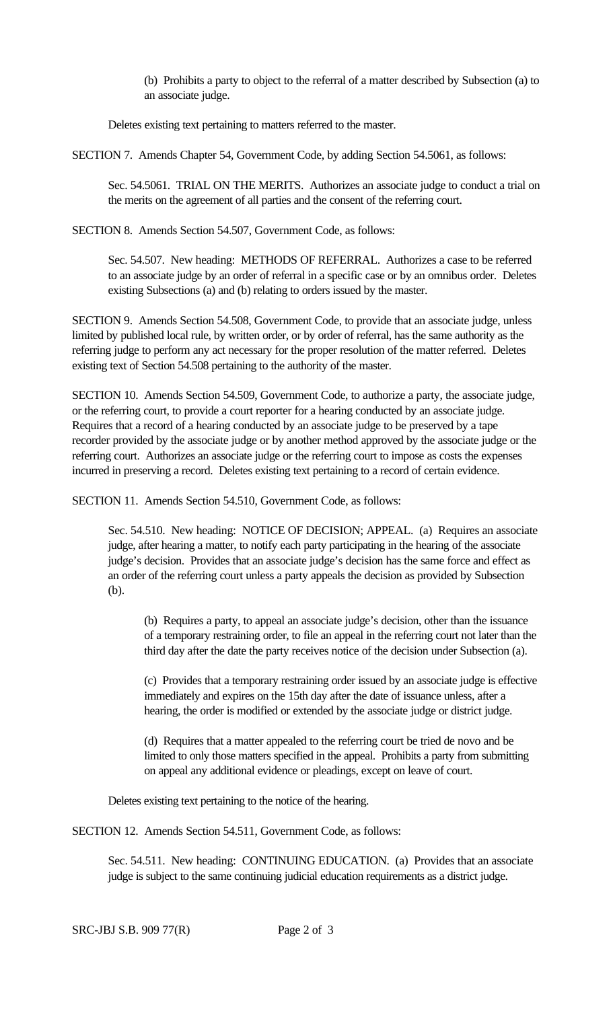(b) Prohibits a party to object to the referral of a matter described by Subsection (a) to an associate judge.

Deletes existing text pertaining to matters referred to the master.

SECTION 7. Amends Chapter 54, Government Code, by adding Section 54.5061, as follows:

Sec. 54.5061. TRIAL ON THE MERITS. Authorizes an associate judge to conduct a trial on the merits on the agreement of all parties and the consent of the referring court.

SECTION 8. Amends Section 54.507, Government Code, as follows:

Sec. 54.507. New heading: METHODS OF REFERRAL. Authorizes a case to be referred to an associate judge by an order of referral in a specific case or by an omnibus order. Deletes existing Subsections (a) and (b) relating to orders issued by the master.

SECTION 9. Amends Section 54.508, Government Code, to provide that an associate judge, unless limited by published local rule, by written order, or by order of referral, has the same authority as the referring judge to perform any act necessary for the proper resolution of the matter referred. Deletes existing text of Section 54.508 pertaining to the authority of the master.

SECTION 10. Amends Section 54.509, Government Code, to authorize a party, the associate judge, or the referring court, to provide a court reporter for a hearing conducted by an associate judge. Requires that a record of a hearing conducted by an associate judge to be preserved by a tape recorder provided by the associate judge or by another method approved by the associate judge or the referring court. Authorizes an associate judge or the referring court to impose as costs the expenses incurred in preserving a record. Deletes existing text pertaining to a record of certain evidence.

SECTION 11. Amends Section 54.510, Government Code, as follows:

Sec. 54.510. New heading: NOTICE OF DECISION; APPEAL. (a) Requires an associate judge, after hearing a matter, to notify each party participating in the hearing of the associate judge's decision. Provides that an associate judge's decision has the same force and effect as an order of the referring court unless a party appeals the decision as provided by Subsection (b).

(b) Requires a party, to appeal an associate judge's decision, other than the issuance of a temporary restraining order, to file an appeal in the referring court not later than the third day after the date the party receives notice of the decision under Subsection (a).

(c) Provides that a temporary restraining order issued by an associate judge is effective immediately and expires on the 15th day after the date of issuance unless, after a hearing, the order is modified or extended by the associate judge or district judge.

(d) Requires that a matter appealed to the referring court be tried de novo and be limited to only those matters specified in the appeal. Prohibits a party from submitting on appeal any additional evidence or pleadings, except on leave of court.

Deletes existing text pertaining to the notice of the hearing.

SECTION 12. Amends Section 54.511, Government Code, as follows:

Sec. 54.511. New heading: CONTINUING EDUCATION. (a) Provides that an associate judge is subject to the same continuing judicial education requirements as a district judge.